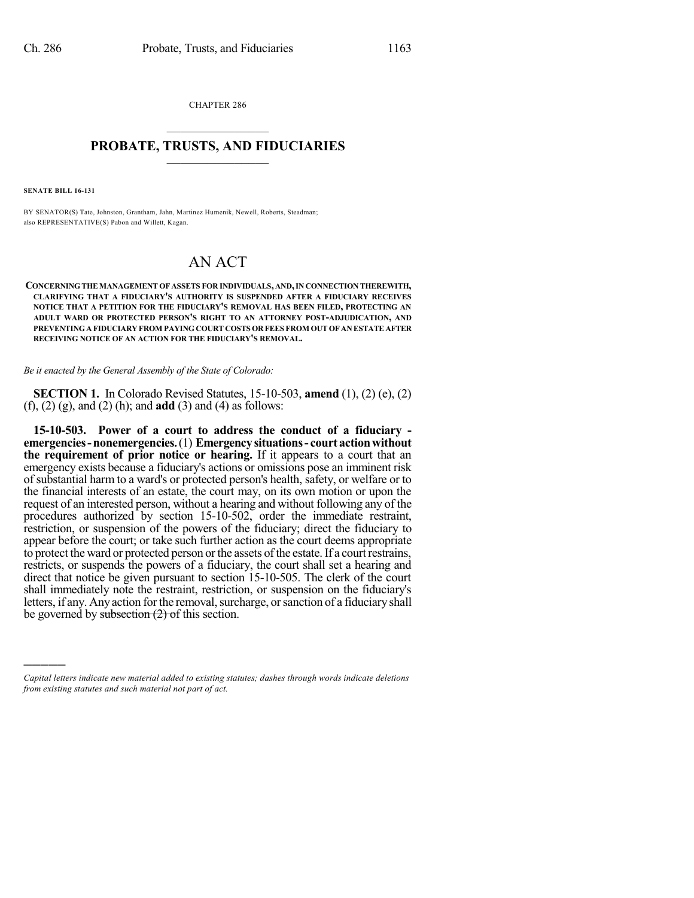CHAPTER 286  $\mathcal{L}_\text{max}$  . The set of the set of the set of the set of the set of the set of the set of the set of the set of the set of the set of the set of the set of the set of the set of the set of the set of the set of the set

## **PROBATE, TRUSTS, AND FIDUCIARIES**  $\overline{\phantom{a}}$

**SENATE BILL 16-131**

)))))

BY SENATOR(S) Tate, Johnston, Grantham, Jahn, Martinez Humenik, Newell, Roberts, Steadman; also REPRESENTATIVE(S) Pabon and Willett, Kagan.

## AN ACT

**CONCERNINGTHE MANAGEMENT OF ASSETS FOR INDIVIDUALS, AND,IN CONNECTION THEREWITH, CLARIFYING THAT A FIDUCIARY'S AUTHORITY IS SUSPENDED AFTER A FIDUCIARY RECEIVES NOTICE THAT A PETITION FOR THE FIDUCIARY'S REMOVAL HAS BEEN FILED, PROTECTING AN ADULT WARD OR PROTECTED PERSON'S RIGHT TO AN ATTORNEY POST-ADJUDICATION, AND PREVENTINGA FIDUCIARY FROM PAYING COURT COSTS OR FEES FROM OUT OF AN ESTATE AFTER RECEIVING NOTICE OF AN ACTION FOR THE FIDUCIARY'S REMOVAL.**

*Be it enacted by the General Assembly of the State of Colorado:*

**SECTION 1.** In Colorado Revised Statutes, 15-10-503, **amend** (1), (2) (e), (2) (f), (2) (g), and (2) (h); and **add** (3) and (4) as follows:

**15-10-503. Power of a court to address the conduct of a fiduciary emergencies-nonemergencies.**(1) **Emergencysituations- court actionwithout the requirement of prior notice or hearing.** If it appears to a court that an emergency exists because a fiduciary's actions or omissions pose an imminent risk of substantial harm to a ward's or protected person's health, safety, or welfare or to the financial interests of an estate, the court may, on its own motion or upon the request of an interested person, without a hearing and without following any of the procedures authorized by section 15-10-502, order the immediate restraint, restriction, or suspension of the powers of the fiduciary; direct the fiduciary to appear before the court; or take such further action as the court deems appropriate to protect the ward or protected person or the assets of the estate. If a court restrains, restricts, or suspends the powers of a fiduciary, the court shall set a hearing and direct that notice be given pursuant to section 15-10-505. The clerk of the court shall immediately note the restraint, restriction, or suspension on the fiduciary's letters, if any. Any action for the removal, surcharge, or sanction of a fiduciary shall be governed by subsection  $(2)$  of this section.

*Capital letters indicate new material added to existing statutes; dashes through words indicate deletions from existing statutes and such material not part of act.*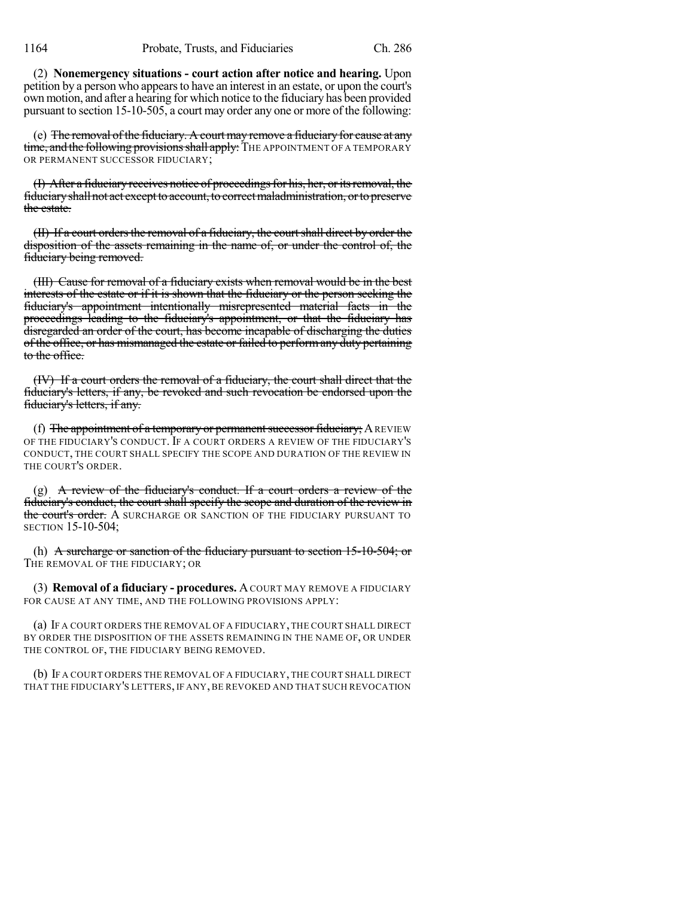(2) **Nonemergency situations - court action after notice and hearing.** Upon petition by a person who appearsto have an interest in an estate, or upon the court's own motion, and after a hearing for which notice to the fiduciary has been provided pursuant to section 15-10-505, a court may order any one or more of the following:

(e) The removal of the fiduciary. A court may remove a fiduciary for cause at any time, and the following provisions shall apply: THE APPOINTMENT OF A TEMPORARY OR PERMANENT SUCCESSOR FIDUCIARY;

(I) After a fiduciary receives notice of proceedingsfor his, her, oritsremoval, the fiduciaryshallnot act exceptto account, to correctmaladministration, orto preserve the estate.

 $(H)$  If a court orders the removal of a fiduciary, the court shall direct by order the disposition of the assets remaining in the name of, or under the control of, the fiduciary being removed.

(III) Cause for removal of a fiduciary exists when removal would be in the best interests of the estate or if it is shown that the fiduciary or the person seeking the fiduciary's appointment intentionally misrepresented material facts in the proceedings leading to the fiduciary's appointment, or that the fiduciary has disregarded an order of the court, has become incapable of discharging the duties of the office, or has mismanaged the estate or failed to performany duty pertaining to the office.

(IV) If a court orders the removal of a fiduciary, the court shall direct that the fiduciary's letters, if any, be revoked and such revocation be endorsed upon the fiduciary's letters, if any.

(f) The appointment of a temporary or permanent successor fiduciary; A REVIEW OF THE FIDUCIARY'S CONDUCT. IF A COURT ORDERS A REVIEW OF THE FIDUCIARY'S CONDUCT, THE COURT SHALL SPECIFY THE SCOPE AND DURATION OF THE REVIEW IN THE COURT'S ORDER.

(g) A review of the fiduciary's conduct. If a court orders a review of the fiduciary's conduct, the court shall specify the scope and duration of the review in the court's order. A SURCHARGE OR SANCTION OF THE FIDUCIARY PURSUANT TO SECTION 15-10-504;

(h) A surcharge or sanction of the fiduciary pursuant to section  $15{\text -}10{\text -}504$ ; or THE REMOVAL OF THE FIDUCIARY; OR

(3) **Removal of a fiduciary - procedures.** ACOURT MAY REMOVE A FIDUCIARY FOR CAUSE AT ANY TIME, AND THE FOLLOWING PROVISIONS APPLY:

(a) IF A COURT ORDERS THE REMOVAL OF A FIDUCIARY, THE COURT SHALL DIRECT BY ORDER THE DISPOSITION OF THE ASSETS REMAINING IN THE NAME OF, OR UNDER THE CONTROL OF, THE FIDUCIARY BEING REMOVED.

(b) IF A COURT ORDERS THE REMOVAL OF A FIDUCIARY, THE COURT SHALL DIRECT THAT THE FIDUCIARY'S LETTERS, IF ANY, BE REVOKED AND THAT SUCH REVOCATION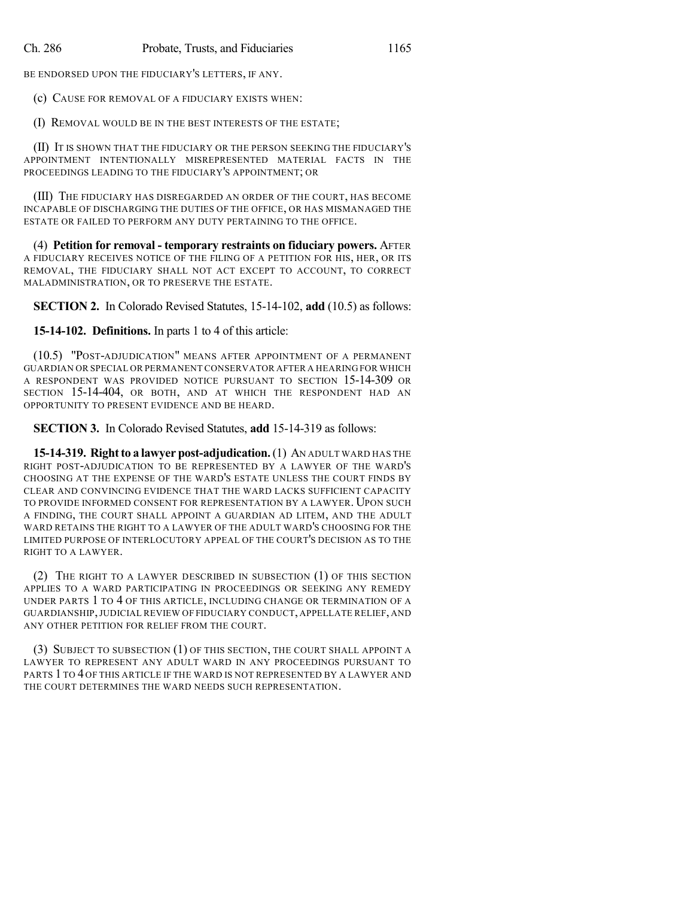BE ENDORSED UPON THE FIDUCIARY'S LETTERS, IF ANY.

(c) CAUSE FOR REMOVAL OF A FIDUCIARY EXISTS WHEN:

(I) REMOVAL WOULD BE IN THE BEST INTERESTS OF THE ESTATE;

(II) IT IS SHOWN THAT THE FIDUCIARY OR THE PERSON SEEKING THE FIDUCIARY'S APPOINTMENT INTENTIONALLY MISREPRESENTED MATERIAL FACTS IN THE PROCEEDINGS LEADING TO THE FIDUCIARY'S APPOINTMENT; OR

(III) THE FIDUCIARY HAS DISREGARDED AN ORDER OF THE COURT, HAS BECOME INCAPABLE OF DISCHARGING THE DUTIES OF THE OFFICE, OR HAS MISMANAGED THE ESTATE OR FAILED TO PERFORM ANY DUTY PERTAINING TO THE OFFICE.

(4) **Petition for removal - temporary restraints on fiduciary powers.** AFTER A FIDUCIARY RECEIVES NOTICE OF THE FILING OF A PETITION FOR HIS, HER, OR ITS REMOVAL, THE FIDUCIARY SHALL NOT ACT EXCEPT TO ACCOUNT, TO CORRECT MALADMINISTRATION, OR TO PRESERVE THE ESTATE.

**SECTION 2.** In Colorado Revised Statutes, 15-14-102, **add** (10.5) as follows:

**15-14-102. Definitions.** In parts 1 to 4 of this article:

(10.5) "POST-ADJUDICATION" MEANS AFTER APPOINTMENT OF A PERMANENT GUARDIAN OR SPECIAL OR PERMANENT CONSERVATOR AFTER A HEARING FOR WHICH A RESPONDENT WAS PROVIDED NOTICE PURSUANT TO SECTION 15-14-309 OR SECTION 15-14-404, OR BOTH, AND AT WHICH THE RESPONDENT HAD AN OPPORTUNITY TO PRESENT EVIDENCE AND BE HEARD.

**SECTION 3.** In Colorado Revised Statutes, **add** 15-14-319 as follows:

**15-14-319. Rightto a lawyer post-adjudication.**(1) AN ADULT WARD HAS THE RIGHT POST-ADJUDICATION TO BE REPRESENTED BY A LAWYER OF THE WARD'S CHOOSING AT THE EXPENSE OF THE WARD'S ESTATE UNLESS THE COURT FINDS BY CLEAR AND CONVINCING EVIDENCE THAT THE WARD LACKS SUFFICIENT CAPACITY TO PROVIDE INFORMED CONSENT FOR REPRESENTATION BY A LAWYER. UPON SUCH A FINDING, THE COURT SHALL APPOINT A GUARDIAN AD LITEM, AND THE ADULT WARD RETAINS THE RIGHT TO A LAWYER OF THE ADULT WARD'S CHOOSING FOR THE LIMITED PURPOSE OF INTERLOCUTORY APPEAL OF THE COURT'S DECISION AS TO THE RIGHT TO A LAWYER.

(2) THE RIGHT TO A LAWYER DESCRIBED IN SUBSECTION (1) OF THIS SECTION APPLIES TO A WARD PARTICIPATING IN PROCEEDINGS OR SEEKING ANY REMEDY UNDER PARTS 1 TO 4 OF THIS ARTICLE, INCLUDING CHANGE OR TERMINATION OF A GUARDIANSHIP,JUDICIAL REVIEW OF FIDUCIARY CONDUCT, APPELLATE RELIEF, AND ANY OTHER PETITION FOR RELIEF FROM THE COURT.

(3) SUBJECT TO SUBSECTION (1) OF THIS SECTION, THE COURT SHALL APPOINT A LAWYER TO REPRESENT ANY ADULT WARD IN ANY PROCEEDINGS PURSUANT TO PARTS 1 TO 4 OF THIS ARTICLE IF THE WARD IS NOT REPRESENTED BY A LAWYER AND THE COURT DETERMINES THE WARD NEEDS SUCH REPRESENTATION.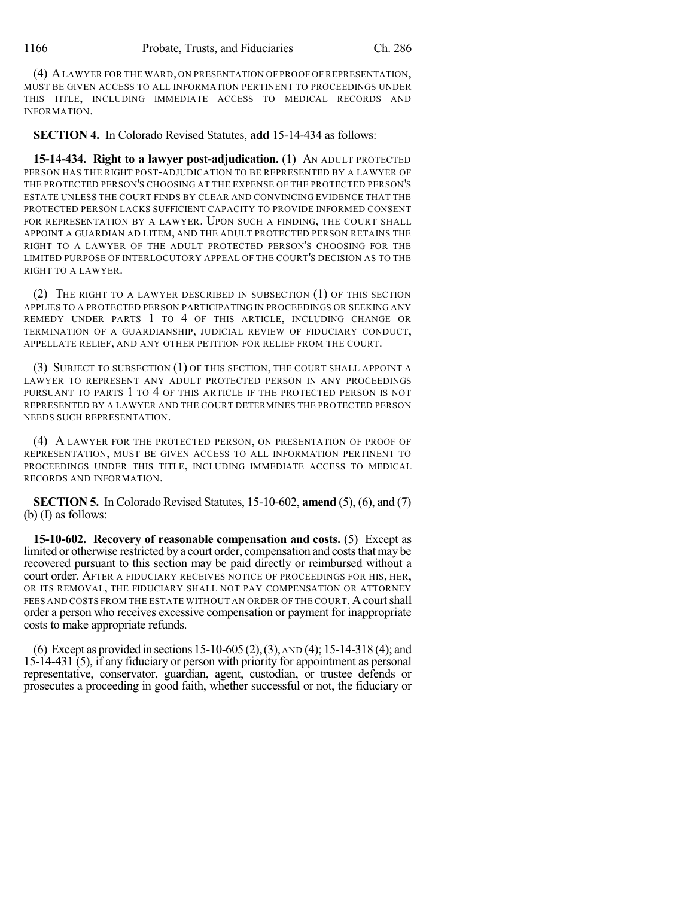(4) ALAWYER FOR THE WARD, ON PRESENTATION OF PROOF OF REPRESENTATION, MUST BE GIVEN ACCESS TO ALL INFORMATION PERTINENT TO PROCEEDINGS UNDER THIS TITLE, INCLUDING IMMEDIATE ACCESS TO MEDICAL RECORDS AND INFORMATION.

**SECTION 4.** In Colorado Revised Statutes, **add** 15-14-434 as follows:

**15-14-434. Right to a lawyer post-adjudication.** (1) AN ADULT PROTECTED PERSON HAS THE RIGHT POST-ADJUDICATION TO BE REPRESENTED BY A LAWYER OF THE PROTECTED PERSON'S CHOOSING AT THE EXPENSE OF THE PROTECTED PERSON'S ESTATE UNLESS THE COURT FINDS BY CLEAR AND CONVINCING EVIDENCE THAT THE PROTECTED PERSON LACKS SUFFICIENT CAPACITY TO PROVIDE INFORMED CONSENT FOR REPRESENTATION BY A LAWYER. UPON SUCH A FINDING, THE COURT SHALL APPOINT A GUARDIAN AD LITEM, AND THE ADULT PROTECTED PERSON RETAINS THE RIGHT TO A LAWYER OF THE ADULT PROTECTED PERSON'S CHOOSING FOR THE LIMITED PURPOSE OF INTERLOCUTORY APPEAL OF THE COURT'S DECISION AS TO THE RIGHT TO A LAWYER.

(2) THE RIGHT TO A LAWYER DESCRIBED IN SUBSECTION (1) OF THIS SECTION APPLIES TO A PROTECTED PERSON PARTICIPATING IN PROCEEDINGS OR SEEKING ANY REMEDY UNDER PARTS 1 TO 4 OF THIS ARTICLE, INCLUDING CHANGE OR TERMINATION OF A GUARDIANSHIP, JUDICIAL REVIEW OF FIDUCIARY CONDUCT, APPELLATE RELIEF, AND ANY OTHER PETITION FOR RELIEF FROM THE COURT.

(3) SUBJECT TO SUBSECTION (1) OF THIS SECTION, THE COURT SHALL APPOINT A LAWYER TO REPRESENT ANY ADULT PROTECTED PERSON IN ANY PROCEEDINGS PURSUANT TO PARTS 1 TO 4 OF THIS ARTICLE IF THE PROTECTED PERSON IS NOT REPRESENTED BY A LAWYER AND THE COURT DETERMINES THE PROTECTED PERSON NEEDS SUCH REPRESENTATION.

(4) A LAWYER FOR THE PROTECTED PERSON, ON PRESENTATION OF PROOF OF REPRESENTATION, MUST BE GIVEN ACCESS TO ALL INFORMATION PERTINENT TO PROCEEDINGS UNDER THIS TITLE, INCLUDING IMMEDIATE ACCESS TO MEDICAL RECORDS AND INFORMATION.

**SECTION 5.** In Colorado Revised Statutes, 15-10-602, **amend** (5), (6), and (7) (b) (I) as follows:

**15-10-602. Recovery of reasonable compensation and costs.** (5) Except as limited or otherwise restricted by a court order, compensation and costs that may be recovered pursuant to this section may be paid directly or reimbursed without a court order. AFTER A FIDUCIARY RECEIVES NOTICE OF PROCEEDINGS FOR HIS, HER, OR ITS REMOVAL, THE FIDUCIARY SHALL NOT PAY COMPENSATION OR ATTORNEY FEES AND COSTS FROM THE ESTATE WITHOUT AN ORDER OF THE COURT. A court shall order a person who receives excessive compensation or payment for inappropriate costs to make appropriate refunds.

(6) Except as provided in sections 15-10-605 (2),(3),AND (4); 15-14-318 (4); and 15-14-431 (5), if any fiduciary or person with priority for appointment as personal representative, conservator, guardian, agent, custodian, or trustee defends or prosecutes a proceeding in good faith, whether successful or not, the fiduciary or